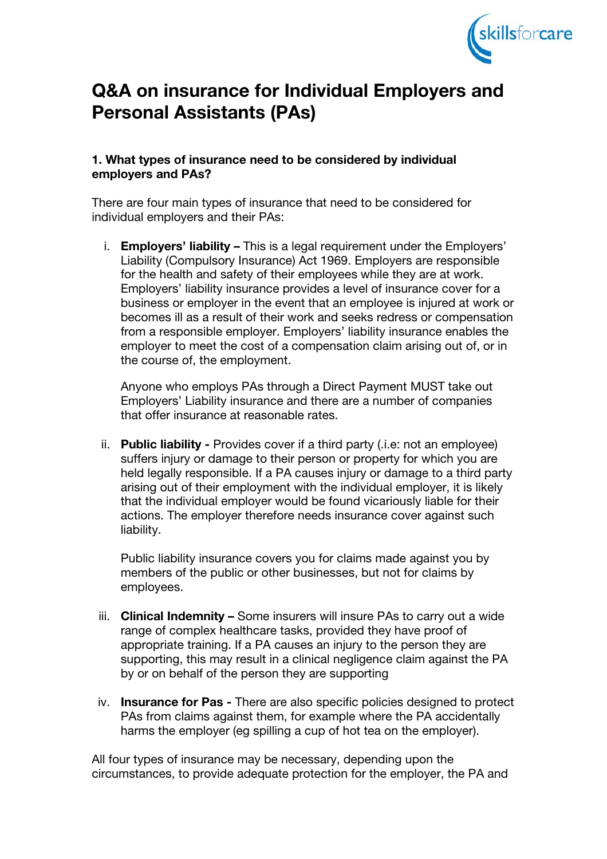

# Q&A on insurance for Individual Employers and Personal Assistants (PAs)

#### 1. What types of insurance need to be considered by individual employers and PAs?

There are four main types of insurance that need to be considered for individual employers and their PAs:

i. Employers' liability – This is a legal requirement under the Employers' Liability (Compulsory Insurance) Act 1969. Employers are responsible for the health and safety of their employees while they are at work. Employers' liability insurance provides a level of insurance cover for a business or employer in the event that an employee is injured at work or becomes ill as a result of their work and seeks redress or compensation from a responsible employer. Employers' liability insurance enables the employer to meet the cost of a compensation claim arising out of, or in the course of, the employment.

Anyone who employs PAs through a Direct Payment MUST take out Employers' Liability insurance and there are a number of companies that offer insurance at reasonable rates.

ii. Public liability - Provides cover if a third party (.i.e: not an employee) suffers injury or damage to their person or property for which you are held legally responsible. If a PA causes injury or damage to a third party arising out of their employment with the individual employer, it is likely that the individual employer would be found vicariously liable for their actions. The employer therefore needs insurance cover against such liability.

Public liability insurance covers you for claims made against you by members of the public or other businesses, but not for claims by employees.

- iii. Clinical Indemnity Some insurers will insure PAs to carry out a wide range of complex healthcare tasks, provided they have proof of appropriate training. If a PA causes an injury to the person they are supporting, this may result in a clinical negligence claim against the PA by or on behalf of the person they are supporting
- iv. Insurance for Pas There are also specific policies designed to protect PAs from claims against them, for example where the PA accidentally harms the employer (eg spilling a cup of hot tea on the employer).

All four types of insurance may be necessary, depending upon the circumstances, to provide adequate protection for the employer, the PA and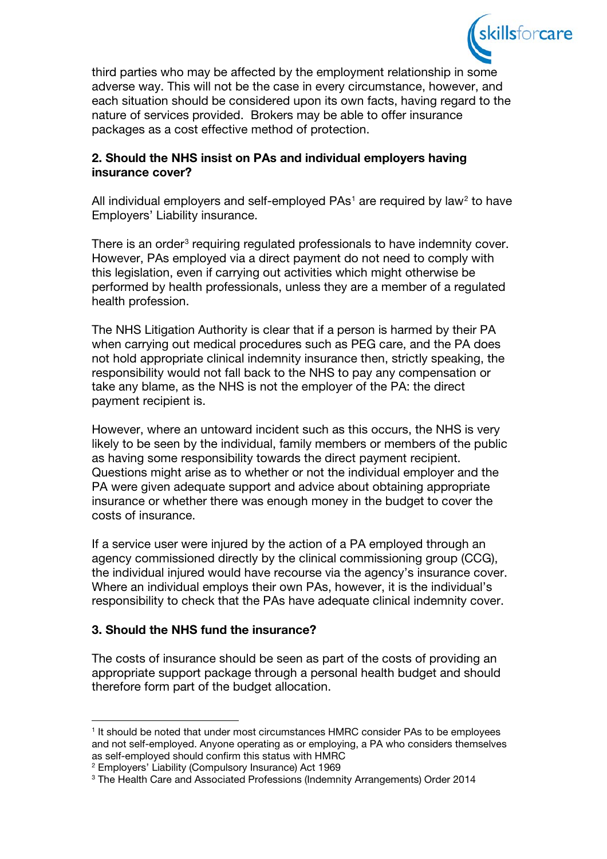

third parties who may be affected by the employment relationship in some adverse way. This will not be the case in every circumstance, however, and each situation should be considered upon its own facts, having regard to the nature of services provided. Brokers may be able to offer insurance packages as a cost effective method of protection.

## 2. Should the NHS insist on PAs and individual employers having insurance cover?

All individual employers and self-employed  $PAs<sup>1</sup>$  $PAs<sup>1</sup>$  $PAs<sup>1</sup>$  are required by law<sup>[2](#page-1-1)</sup> to have Employers' Liability insurance.

There is an order<sup>[3](#page-1-2)</sup> requiring regulated professionals to have indemnity cover. However, PAs employed via a direct payment do not need to comply with this legislation, even if carrying out activities which might otherwise be performed by health professionals, unless they are a member of a regulated health profession.

The NHS Litigation Authority is clear that if a person is harmed by their PA when carrying out medical procedures such as PEG care, and the PA does not hold appropriate clinical indemnity insurance then, strictly speaking, the responsibility would not fall back to the NHS to pay any compensation or take any blame, as the NHS is not the employer of the PA: the direct payment recipient is.

However, where an untoward incident such as this occurs, the NHS is very likely to be seen by the individual, family members or members of the public as having some responsibility towards the direct payment recipient. Questions might arise as to whether or not the individual employer and the PA were given adequate support and advice about obtaining appropriate insurance or whether there was enough money in the budget to cover the costs of insurance.

If a service user were injured by the action of a PA employed through an agency commissioned directly by the clinical commissioning group (CCG), the individual injured would have recourse via the agency's insurance cover. Where an individual employs their own PAs, however, it is the individual's responsibility to check that the PAs have adequate clinical indemnity cover.

## 3. Should the NHS fund the insurance?

The costs of insurance should be seen as part of the costs of providing an appropriate support package through a personal health budget and should therefore form part of the budget allocation.

<span id="page-1-0"></span><sup>&</sup>lt;sup>1</sup> It should be noted that under most circumstances HMRC consider PAs to be employees and not self-employed. Anyone operating as or employing, a PA who considers themselves as self-employed should confirm this status with HMRC

<span id="page-1-1"></span><sup>2</sup> Employers' Liability (Compulsory Insurance) Act 1969

<span id="page-1-2"></span><sup>3</sup> The Health Care and Associated Professions (Indemnity Arrangements) Order 2014